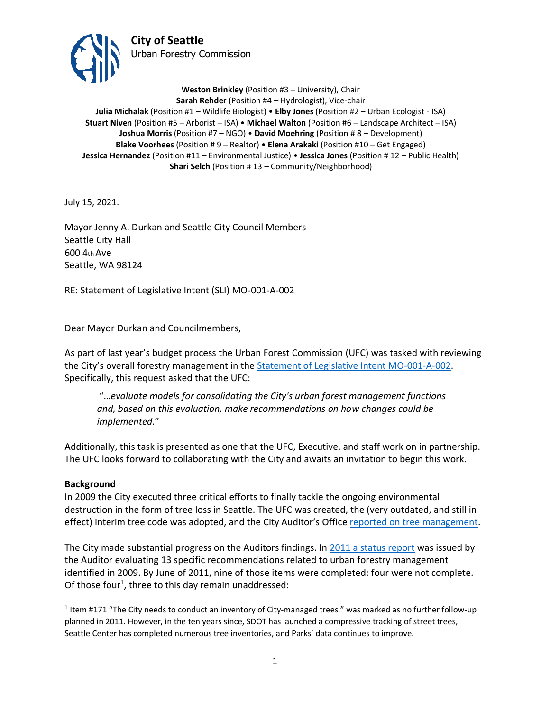

**Weston Brinkley** (Position #3 – University), Chair **Sarah Rehder** (Position #4 – Hydrologist), Vice-chair **Julia Michalak** (Position #1 – Wildlife Biologist) • **Elby Jones** (Position #2 – Urban Ecologist - ISA) **Stuart Niven** (Position #5 – Arborist – ISA) • **Michael Walton** (Position #6 – Landscape Architect – ISA) **Joshua Morris** (Position #7 – NGO) • **David Moehring** (Position # 8 – Development) **Blake Voorhees** (Position # 9 – Realtor) • **Elena Arakaki** (Position #10 – Get Engaged) **Jessica Hernandez** (Position #11 – Environmental Justice) • **Jessica Jones** (Position # 12 – Public Health) **Shari Selch** (Position # 13 – Community/Neighborhood)

July 15, 2021.

Mayor Jenny A. Durkan and Seattle City Council Members Seattle City Hall 600 4th Ave Seattle, WA 98124

RE: Statement of Legislative Intent (SLI) MO-001-A-002

Dear Mayor Durkan and Councilmembers,

As part of last year's budget process the Urban Forest Commission (UFC) was tasked with reviewing the City's overall forestry management in the [Statement of Legislative Intent MO-001-A-002.](http://www.seattle.gov/Documents/Departments/UrbanForestryCommission/Resources/SLI-MO-001-A-002UFConsolidationFinal.pdf) Specifically, this request asked that the UFC:

"…*evaluate models for consolidating the City's urban forest management functions and, based on this evaluation, make recommendations on how changes could be implemented.*"

Additionally, this task is presented as one that the UFC, Executive, and staff work on in partnership. The UFC looks forward to collaborating with the City and awaits an invitation to begin this work.

## **Background**

In 2009 the City executed three critical efforts to finally tackle the ongoing environmental destruction in the form of tree loss in Seattle. The UFC was created, the (very outdated, and still in effect) interim tree code was adopted, and the City Auditor's Office [reported on tree management.](http://www.seattle.gov/Documents/Departments/UrbanForestryCommission/Resources/TreeAuditReport20090515.pdf)

The City made substantial progress on the Auditors findings. In [2011 a status report](http://www.seattle.gov/Documents/Departments/UrbanForestryCommission/Resources/FinalReport2011-09-20.pdf) was issued by the Auditor evaluating 13 specific recommendations related to urban forestry management identified in 2009. By June of 2011, nine of those items were completed; four were not complete. Of those four<sup>1</sup>, three to this day remain unaddressed:

<sup>&</sup>lt;sup>1</sup> Item #171 "The City needs to conduct an inventory of City-managed trees." was marked as no further follow-up planned in 2011. However, in the ten years since, SDOT has launched a compressive tracking of street trees, Seattle Center has completed numerous tree inventories, and Parks' data continues to improve.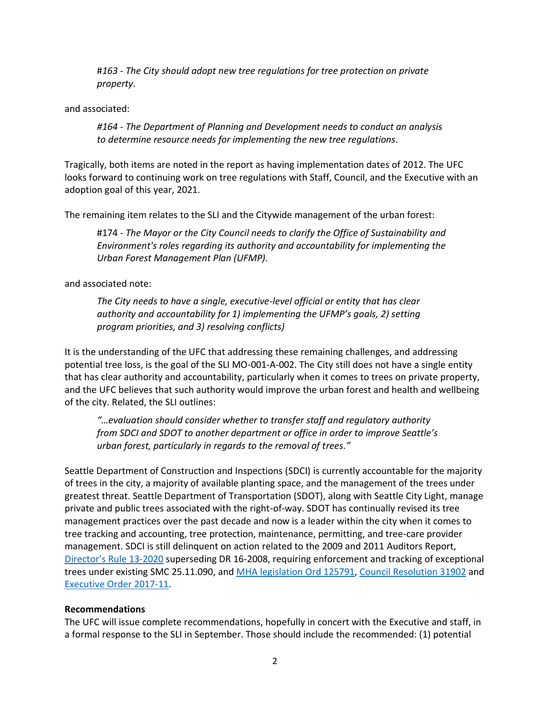#*163 - The City should adopt new tree regulations for tree protection on private property.*

and associated:

*#164 - The Department of Planning and Development needs to conduct an analysis to determine resource needs for implementing the new tree regulations.*

Tragically, both items are noted in the report as having implementation dates of 2012. The UFC looks forward to continuing work on tree regulations with Staff, Council, and the Executive with an adoption goal of this year, 2021.

The remaining item relates to the SLI and the Citywide management of the urban forest:

#174 - *The Mayor or the City Council needs to clarify the Office of Sustainability and Environment's roles regarding its authority and accountability for implementing the Urban Forest Management Plan (UFMP).* 

and associated note:

*The City needs to have a single, executive-level official or entity that has clear authority and accountability for 1) implementing the UFMP's goals, 2) setting program priorities, and 3) resolving conflicts)*

It is the understanding of the UFC that addressing these remaining challenges, and addressing potential tree loss, is the goal of the SLI MO-001-A-002. The City still does not have a single entity that has clear authority and accountability, particularly when it comes to trees on private property, and the UFC believes that such authority would improve the urban forest and health and wellbeing of the city. Related, the SLI outlines:

*"…evaluation should consider whether to transfer staff and regulatory authority from SDCI and SDOT to another department or office in order to improve Seattle's urban forest, particularly in regards to the removal of trees."*

Seattle Department of Construction and Inspections (SDCI) is currently accountable for the majority of trees in the city, a majority of available planting space, and the management of the trees under greatest threat. Seattle Department of Transportation (SDOT), along with Seattle City Light, manage private and public trees associated with the right-of-way. SDOT has continually revised its tree management practices over the past decade and now is a leader within the city when it comes to tree tracking and accounting, tree protection, maintenance, permitting, and tree-care provider management. SDCI is still delinquent on action related to the 2009 and 2011 Auditors Report, [Director's Rule](http://www.seattle.gov/Documents/Departments/UrbanForestryCommission/Resources/07.16.2020%20DDR2020-13.pdf) 13-2020 superseding DR 16-2008, requiring enforcement and tracking of exceptional trees under existing SMC 25.11.090, and [MHA legislation Ord 125791,](https://seattle.legistar.com/View.ashx?M=F&ID=7107428&GUID=DF534001-39D2-46BF-9FF8-A1B650A5C041) [Council Resolution 31902](http://clerk.seattle.gov/search/resolutions/31902) and [Executive Order 2017-11.](http://www.seattle.gov/Documents/Departments/UrbanForestryCommission/2018/2018docs/TreeExecOrder2017-11FINAL.pdf)

## **Recommendations**

The UFC will issue complete recommendations, hopefully in concert with the Executive and staff, in a formal response to the SLI in September. Those should include the recommended: (1) potential